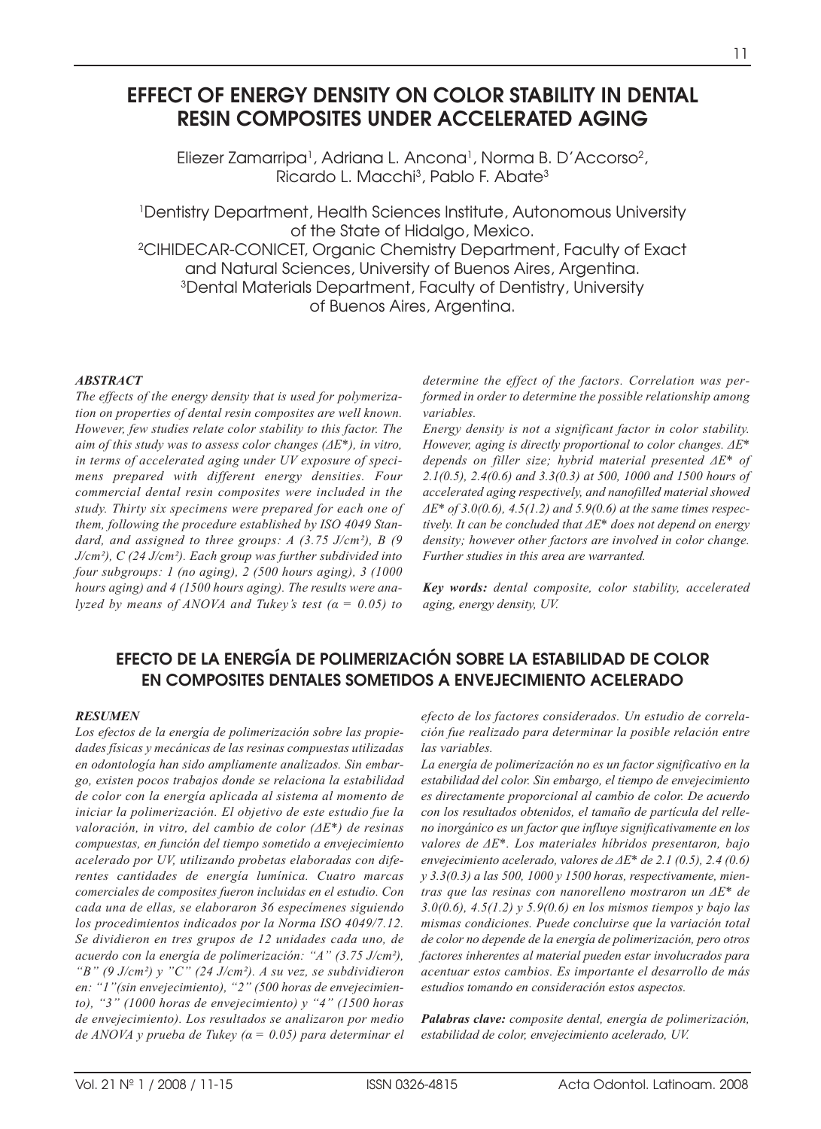# **EFFECT OF ENERGY DENSITY ON COLOR STABILITY IN DENTAL RESIN COMPOSITES UNDER ACCELERATED AGING**

Eliezer Zamarripa<sup>1</sup>, Adriana L. Ancona<sup>1</sup>, Norma B. D'Accorso<sup>2</sup>, Ricardo L. Macchi3, Pablo F. Abate3

1Dentistry Department, Health Sciences Institute, Autonomous University of the State of Hidalgo, Mexico. 2CIHIDECAR-CONICET, Organic Chemistry Department, Faculty of Exact and Natural Sciences, University of Buenos Aires, Argentina. 3Dental Materials Department, Faculty of Dentistry, University of Buenos Aires, Argentina.

#### *ABSTRACT*

*The effects of the energy density that is used for polymerization on properties of dental resin composites are well known. However, few studies relate color stability to this factor. The aim of this study was to assess color changes (ΔE\*), in vitro, in terms of accelerated aging under UV exposure of specimens prepared with different energy densities. Four commercial dental resin composites were included in the study. Thirty six specimens were prepared for each one of them, following the procedure established by ISO 4049 Standard, and assigned to three groups: A (3.75 J/cm²), B (9 J/cm²), C (24 J/cm²). Each group was further subdivided into four subgroups: 1 (no aging), 2 (500 hours aging), 3 (1000 hours aging) and 4 (1500 hours aging). The results were analyzed by means of ANOVA and Tukey's test (α = 0.05) to* *determine the effect of the factors. Correlation was performed in order to determine the possible relationship among variables.*

*Energy density is not a significant factor in color stability. However, aging is directly proportional to color changes. ΔE\* depends on filler size; hybrid material presented ΔE\* of 2.1(0.5), 2.4(0.6) and 3.3(0.3) at 500, 1000 and 1500 hours of accelerated aging respectively, and nanofilled material showed ΔE\* of 3.0(0.6), 4.5(1.2) and 5.9(0.6) at the same times respectively. It can be concluded that ΔE\* does not depend on energy density; however other factors are involved in color change. Further studies in this area are warranted.*

*Key words: dental composite, color stability, accelerated aging, energy density, UV.*

# **EFECTO DE LA ENERGÍA DE POLIMERIZACIÓN SOBRE LA ESTABILIDAD DE COLOR EN COMPOSITES DENTALES SOMETIDOS A ENVEJECIMIENTO ACELERADO**

#### *RESUMEN*

*Los efectos de la energía de polimerización sobre las propiedades físicas y mecánicas de las resinas compuestas utilizadas en odontología han sido ampliamente analizados. Sin embargo, existen pocos trabajos donde se relaciona la estabilidad de color con la energía aplicada al sistema al momento de iniciar la polimerización. El objetivo de este estudio fue la valoración, in vitro, del cambio de color (ΔE\*) de resinas compuestas, en función del tiempo sometido a envejecimiento acelerado por UV, utilizando probetas elaboradas con diferentes cantidades de energía lumínica. Cuatro marcas comerciales de composites fueron incluidas en el estudio. Con cada una de ellas, se elaboraron 36 especímenes siguiendo los procedimientos indicados por la Norma ISO 4049/7.12. Se dividieron en tres grupos de 12 unidades cada uno, de acuerdo con la energía de polimerización: "A" (3.75 J/cm²), "B" (9 J/cm²) y "C" (24 J/cm²). A su vez, se subdividieron en: "1"(sin envejecimiento), "2" (500 horas de envejecimiento), "3" (1000 horas de envejecimiento) y "4" (1500 horas de envejecimiento). Los resultados se analizaron por medio de ANOVA y prueba de Tukey (α = 0.05) para determinar el*

*efecto de los factores considerados. Un estudio de correlación fue realizado para determinar la posible relación entre las variables.* 

*La energía de polimerización no es un factor significativo en la estabilidad del color. Sin embargo, el tiempo de envejecimiento es directamente proporcional al cambio de color. De acuerdo con los resultados obtenidos, el tamaño de partícula del relleno inorgánico es un factor que influye significativamente en los valores de ΔE\*. Los materiales híbridos presentaron, bajo envejecimiento acelerado, valores de ΔE\* de 2.1 (0.5), 2.4 (0.6) y 3.3(0.3) a las 500, 1000 y 1500 horas, respectivamente, mientras que las resinas con nanorelleno mostraron un ΔE\* de 3.0(0.6), 4.5(1.2) y 5.9(0.6) en los mismos tiempos y bajo las mismas condiciones. Puede concluirse que la variación total de color no depende de la energía de polimerización, pero otros factores inherentes al material pueden estar involucrados para acentuar estos cambios. Es importante el desarrollo de más estudios tomando en consideración estos aspectos.* 

*Palabras clave: composite dental, energía de polimerización, estabilidad de color, envejecimiento acelerado, UV.*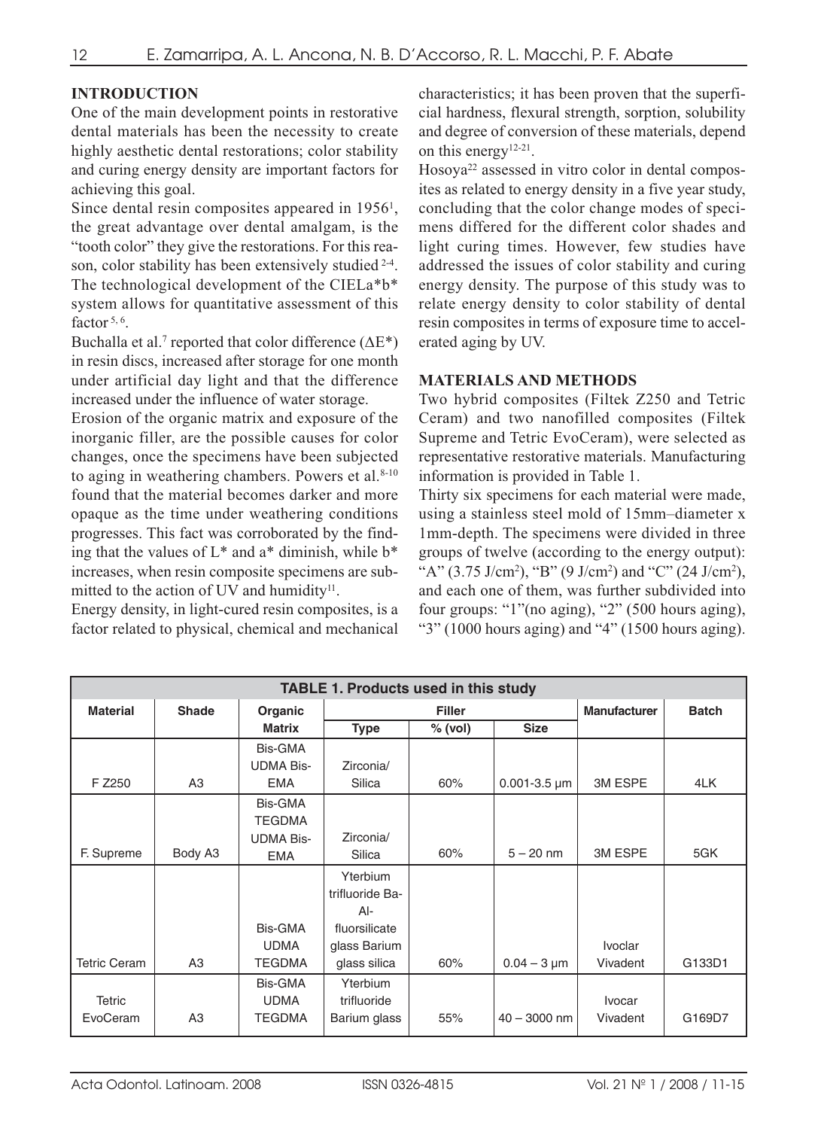# **INTRODUCTION**

One of the main development points in restorative dental materials has been the necessity to create highly aesthetic dental restorations; color stability and curing energy density are important factors for achieving this goal.

Since dental resin composites appeared in 1956<sup>1</sup>, the great advantage over dental amalgam, is the "tooth color" they give the restorations. For this reason, color stability has been extensively studied <sup>2-4</sup>. The technological development of the CIELa\*b\* system allows for quantitative assessment of this factor  $5, 6$ .

Buchalla et al.<sup>7</sup> reported that color difference ( $\Delta E^*$ ) in resin discs, increased after storage for one month under artificial day light and that the difference increased under the influence of water storage.

Erosion of the organic matrix and exposure of the inorganic filler, are the possible causes for color changes, once the specimens have been subjected to aging in weathering chambers. Powers et al. $8-10$ found that the material becomes darker and more opaque as the time under weathering conditions progresses. This fact was corroborated by the finding that the values of  $L^*$  and a<sup>\*</sup> diminish, while  $b^*$ increases, when resin composite specimens are submitted to the action of UV and humidity<sup>11</sup>.

Energy density, in light-cured resin composites, is a factor related to physical, chemical and mechanical

characteristics; it has been proven that the superficial hardness, flexural strength, sorption, solubility and degree of conversion of these materials, depend on this energy12-21.

Hosoya<sup>22</sup> assessed in vitro color in dental composites as related to energy density in a five year study, concluding that the color change modes of specimens differed for the different color shades and light curing times. However, few studies have addressed the issues of color stability and curing energy density. The purpose of this study was to relate energy density to color stability of dental resin composites in terms of exposure time to accelerated aging by UV.

## **MATERIALS AND METHODS**

Two hybrid composites (Filtek Z250 and Tetric Ceram) and two nanofilled composites (Filtek Supreme and Tetric EvoCeram), were selected as representative restorative materials. Manufacturing information is provided in Table 1.

Thirty six specimens for each material were made, using a stainless steel mold of 15mm–diameter x 1mm-depth. The specimens were divided in three groups of twelve (according to the energy output): "A" (3.75 J/cm<sup>2</sup>), "B" (9 J/cm<sup>2</sup>) and "C" (24 J/cm<sup>2</sup>), and each one of them, was further subdivided into four groups: "1"(no aging), "2" (500 hours aging), "3" (1000 hours aging) and "4" (1500 hours aging).

| <b>TABLE 1. Products used in this study</b> |                |                  |                 |         |                              |                     |              |
|---------------------------------------------|----------------|------------------|-----------------|---------|------------------------------|---------------------|--------------|
| <b>Material</b>                             | <b>Shade</b>   | Organic          | <b>Filler</b>   |         |                              | <b>Manufacturer</b> | <b>Batch</b> |
|                                             |                | <b>Matrix</b>    | <b>Type</b>     | % (vol) | <b>Size</b>                  |                     |              |
|                                             |                | Bis-GMA          |                 |         |                              |                     |              |
|                                             |                | <b>UDMA Bis-</b> | Zirconia/       |         |                              |                     |              |
| F Z250                                      | A3             | <b>EMA</b>       | Silica          | 60%     | $0.001 - 3.5 \,\text{\mu m}$ | 3M ESPE             | 4LK          |
|                                             |                | Bis-GMA          |                 |         |                              |                     |              |
|                                             |                | <b>TEGDMA</b>    |                 |         |                              |                     |              |
|                                             |                | <b>UDMA Bis-</b> | Zirconia/       |         |                              |                     |              |
| F. Supreme                                  | Body A3        | <b>EMA</b>       | Silica          | 60%     | $5 - 20$ nm                  | 3M ESPE             | 5GK          |
|                                             |                |                  | Yterbium        |         |                              |                     |              |
|                                             |                |                  | trifluoride Ba- |         |                              |                     |              |
|                                             |                |                  | $Al-$           |         |                              |                     |              |
|                                             |                | Bis-GMA          | fluorsilicate   |         |                              |                     |              |
|                                             |                | <b>UDMA</b>      | glass Barium    |         |                              | <b>Ivoclar</b>      |              |
| <b>Tetric Ceram</b>                         | A3             | <b>TEGDMA</b>    | glass silica    | 60%     | $0.04 - 3 \mu m$             | Vivadent            | G133D1       |
|                                             |                | Bis-GMA          | Yterbium        |         |                              |                     |              |
| <b>Tetric</b>                               |                | <b>UDMA</b>      | trifluoride     |         |                              | <b>Ivocar</b>       |              |
| EvoCeram                                    | A <sub>3</sub> | <b>TEGDMA</b>    | Barium glass    | 55%     | $40 - 3000$ nm               | Vivadent            | G169D7       |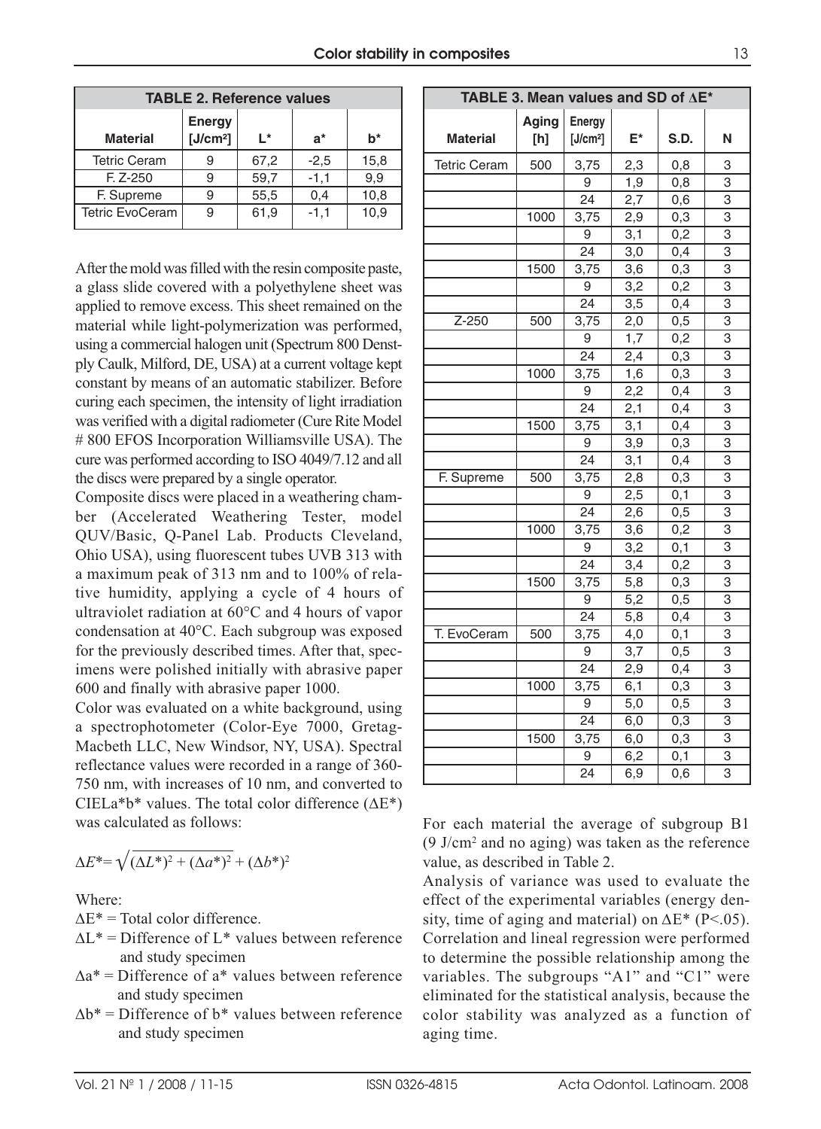| <b>TABLE 2. Reference values</b> |                                |      |        |       |  |  |
|----------------------------------|--------------------------------|------|--------|-------|--|--|
| <b>Material</b>                  | Energy<br>[J/cm <sup>2</sup> ] | ı*   | $a^*$  | $b^*$ |  |  |
| <b>Tetric Ceram</b>              |                                | 67,2 | $-2,5$ | 15,8  |  |  |
| $F. Z - 250$                     |                                | 59,7 | $-1,1$ | 9.9   |  |  |
| F. Supreme                       |                                | 55,5 | 0,4    | 10,8  |  |  |
| <b>Tetric EvoCeram</b>           |                                | 61,9 | $-1.1$ | 10.9  |  |  |

After the mold was filled with the resin composite paste, a glass slide covered with a polyethylene sheet was applied to remove excess. This sheet remained on the material while light-polymerization was performed, using a commercial halogen unit (Spectrum 800 Denstply Caulk, Milford, DE, USA) at a current voltage kept constant by means of an automatic stabilizer. Before curing each specimen, the intensity of light irradiation was verified with a digital radiometer (Cure Rite Model # 800 EFOS Incorporation Williamsville USA). The cure was performed according to ISO 4049/7.12 and all the discs were prepared by a single operator.

Composite discs were placed in a weathering chamber (Accelerated Weathering Tester, model QUV/Basic, Q-Panel Lab. Products Cleveland, Ohio USA), using fluorescent tubes UVB 313 with a maximum peak of 313 nm and to 100% of relative humidity, applying a cycle of 4 hours of ultraviolet radiation at 60°C and 4 hours of vapor condensation at 40°C. Each subgroup was exposed for the previously described times. After that, specimens were polished initially with abrasive paper 600 and finally with abrasive paper 1000.

Color was evaluated on a white background, using a spectrophotometer (Color-Eye 7000, Gretag-Macbeth LLC, New Windsor, NY, USA). Spectral reflectance values were recorded in a range of 360- 750 nm, with increases of 10 nm, and converted to CIELa\*b\* values. The total color difference  $(\Delta E^*)$ was calculated as follows:

$$
\Delta E^* = \sqrt{(\Delta L^*)^2 + (\Delta a^*)^2} + (\Delta b^*)^2
$$

Where:

 $\Delta E^*$  = Total color difference.

- $\Delta L^*$  = Difference of  $L^*$  values between reference and study specimen
- $\Delta a^*$  = Difference of  $a^*$  values between reference and study specimen
- $\Delta b^*$  = Difference of  $b^*$  values between reference and study specimen

| TABLE 3. Mean values and SD of $\Delta E^*$ |              |                                |                  |                  |                           |
|---------------------------------------------|--------------|--------------------------------|------------------|------------------|---------------------------|
| <b>Material</b>                             | Aging<br>[h] | Energy<br>[J/cm <sup>2</sup> ] | E*               | S.D.             | N                         |
| <b>Tetric Ceram</b>                         | 500          | 3,75                           | 2,3              | 0,8              | 3                         |
|                                             |              | 9                              | 1,9              | 0,8              | $\overline{3}$            |
|                                             |              | 24                             | 2,7              | 0,6              | 3                         |
|                                             | 1000         | 3,75                           | 2,9              | 0,3              | 3                         |
|                                             |              | 9                              | 3,1              | 0,2              | 3                         |
|                                             |              | $\overline{24}$                | 3,0              | $0,\overline{4}$ | $\overline{3}$            |
|                                             | 1500         | 3,75                           | 3,6              | $_{0,3}$         | $\overline{3}$            |
|                                             |              | 9                              | 3,2              | 0,2              | $\overline{3}$            |
|                                             |              | 24                             | 3,5              | 0,4              | 3                         |
| Z-250                                       | 500          | 3,75                           | 2,0              | 0,5              | $\overline{3}$            |
|                                             |              | 9                              | 1,7              | 0,2              | 3                         |
|                                             |              | $\overline{24}$                | 2,4              | 0,3              | 3                         |
|                                             | 1000         | 3,75                           | 1,6              | 0,3              | 3                         |
|                                             |              | 9                              | 2,2              | 0,4              | 3                         |
|                                             |              | 24                             | 2,1              | 0,4              | 3                         |
|                                             | 1500         | 3,75                           | 3,1              | 0,4              | 3                         |
|                                             |              | 9                              | 3,9              | 0,3              | $\overline{3}$            |
|                                             |              | 24                             | 3,1              | 0,4              | 3                         |
| F. Supreme                                  | 500          | 3,75                           | 2,8              | 0,3              | $\overline{3}$            |
|                                             |              | 9                              | 2,5              | 0,1              | 3                         |
|                                             |              | $\overline{24}$                | 2,6              | 0,5              | $\overline{3}$            |
|                                             | 1000         | 3,75                           | 3,6              | 0,2              | 3                         |
|                                             |              | 9                              | 3,2              | 0,1              | $\overline{3}$            |
|                                             |              | $\overline{24}$                | 3,4              | 0,2              | $\overline{3}$            |
|                                             | 1500         | 3,75                           | 5,8              | 0,3              | 3                         |
|                                             |              | 9                              | $\overline{5,2}$ | 0,5              | $\overline{\overline{3}}$ |
|                                             |              | 24                             | 5,8              | 0,4              | 3                         |
| T. EvoCeram                                 | 500          | 3,75                           | 4,0              | 0,1              | 3                         |
|                                             |              | 9                              | 3,7              | 0,5              | $\overline{3}$            |
|                                             |              | 24                             | 2,9              | 0,4              | $\overline{\overline{3}}$ |
|                                             | 1000         | 3,75                           | 6,1              | 0,3              | $\overline{3}$            |
|                                             |              | 9                              | 5,0              | 0,5              | $\overline{3}$            |
|                                             |              | $\overline{24}$                | 6,0              | $\overline{0,3}$ | $\overline{\overline{3}}$ |
|                                             | 1500         | 3,75                           | 6,0              | 0,3              | $\overline{3}$            |
|                                             |              | 9                              | 6,2              | 0,1              | 3                         |
|                                             |              | $\overline{24}$                | 6,9              | 0,6              | 3                         |

For each material the average of subgroup B1 (9 J/cm2 and no aging) was taken as the reference value, as described in Table 2.

Analysis of variance was used to evaluate the effect of the experimental variables (energy density, time of aging and material) on  $\Delta E^*$  (P<.05). Correlation and lineal regression were performed to determine the possible relationship among the variables. The subgroups "A1" and "C1" were eliminated for the statistical analysis, because the color stability was analyzed as a function of aging time.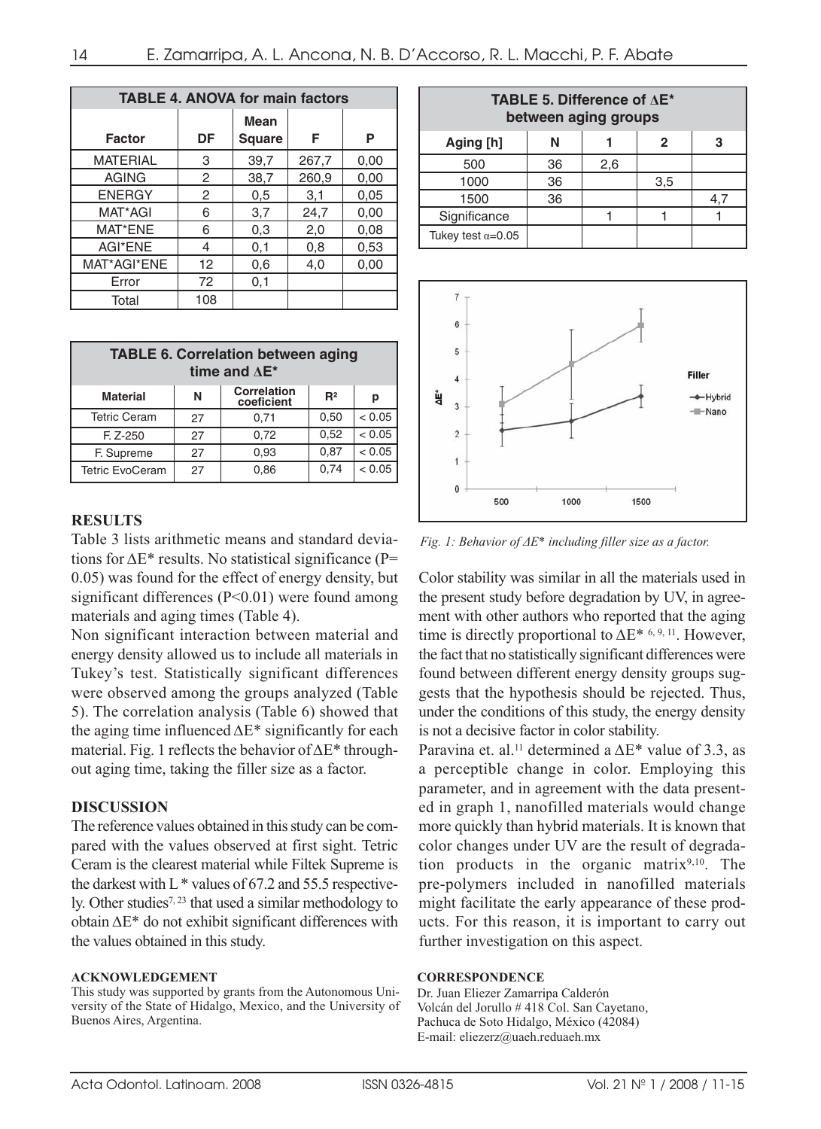| <b>TABLE 4. ANOVA for main factors</b> |     |               |       |      |  |
|----------------------------------------|-----|---------------|-------|------|--|
|                                        | DF  | <b>Mean</b>   | F     |      |  |
| <b>Factor</b>                          |     | <b>Square</b> |       | Р    |  |
| <b>MATERIAL</b>                        | 3   | 39,7          | 267,7 | 0,00 |  |
| <b>AGING</b>                           | 2   | 38,7          | 260,9 | 0.00 |  |
| <b>ENERGY</b>                          | 2   | 0,5           | 3,1   | 0.05 |  |
| MAT*AGI                                | 6   | 3,7           | 24,7  | 0,00 |  |
| MAT*ENE                                | 6   | 0,3           | 2,0   | 0.08 |  |
| AGI*ENE                                | 4   | 0,1           | 0,8   | 0,53 |  |
| MAT*AGI*ENE                            | 12  | 0,6           | 4,0   | 0,00 |  |
| Error                                  | 72  | 0,1           |       |      |  |
| Total                                  | 108 |               |       |      |  |

| <b>TABLE 6. Correlation between aging</b><br>time and $\Delta E^*$              |    |      |      |        |  |  |
|---------------------------------------------------------------------------------|----|------|------|--------|--|--|
| <b>Correlation</b><br>R <sup>2</sup><br><b>Material</b><br>N<br>р<br>coeficient |    |      |      |        |  |  |
| <b>Tetric Ceram</b>                                                             | 27 | 0,71 | 0,50 | < 0.05 |  |  |
| $F. Z - 250$                                                                    | 27 | 0,72 | 0.52 | < 0.05 |  |  |
| F. Supreme                                                                      | 27 | 0,93 | 0.87 | < 0.05 |  |  |
| <b>Tetric EvoCeram</b>                                                          | 27 | 0,86 | 0.74 | < 0.05 |  |  |

### **RESULTS**

Table 3 lists arithmetic means and standard deviations for  $\Delta E^*$  results. No statistical significance (P= 0.05) was found for the effect of energy density, but significant differences  $(P<0.01)$  were found among materials and aging times (Table 4).

Non significant interaction between material and energy density allowed us to include all materials in Tukey's test. Statistically significant differences were observed among the groups analyzed (Table 5). The correlation analysis (Table 6) showed that the aging time influenced  $\Delta E^*$  significantly for each material. Fig. 1 reflects the behavior of ΔE\* throughout aging time, taking the filler size as a factor.

# **DISCUSSION**

The reference values obtained in this study can be compared with the values observed at first sight. Tetric Ceram is the clearest material while Filtek Supreme is the darkest with  $L^*$  values of 67.2 and 55.5 respectively. Other studies<sup>7, 23</sup> that used a similar methodology to obtain ΔE\* do not exhibit significant differences with the values obtained in this study.

### **ACKNOWLEDGEMENT**

This study was supported by grants from the Autonomous University of the State of Hidalgo, Mexico, and the University of Buenos Aires, Argentina.

| <b>TABLE 5. Difference of <math>\Delta E^*</math></b><br>between aging groups |    |     |     |    |  |  |
|-------------------------------------------------------------------------------|----|-----|-----|----|--|--|
| Aging [h]<br>N<br>3<br>2                                                      |    |     |     |    |  |  |
| 500                                                                           | 36 | 2,6 |     |    |  |  |
| 1000                                                                          | 36 |     | 3,5 |    |  |  |
| 1500                                                                          | 36 |     |     | 4. |  |  |
| Significance                                                                  |    |     |     |    |  |  |
| Tukey test $\alpha = 0.05$                                                    |    |     |     |    |  |  |



*Fig. 1: Behavior of ΔE\* including filler size as a factor.*

Color stability was similar in all the materials used in the present study before degradation by UV, in agreement with other authors who reported that the aging time is directly proportional to  $\Delta E^*$ <sup>6, 9, 11</sup>. However, the fact that no statistically significant differences were found between different energy density groups suggests that the hypothesis should be rejected. Thus, under the conditions of this study, the energy density is not a decisive factor in color stability.

Paravina et. al.<sup>11</sup> determined a  $\Delta E^*$  value of 3.3, as a perceptible change in color. Employing this parameter, and in agreement with the data presented in graph 1, nanofilled materials would change more quickly than hybrid materials. It is known that color changes under UV are the result of degradation products in the organic matrix $9,10$ . The pre-polymers included in nanofilled materials might facilitate the early appearance of these products. For this reason, it is important to carry out further investigation on this aspect.

### **CORRESPONDENCE**

Dr. Juan Eliezer Zamarripa Calderón Volcán del Jorullo # 418 Col. San Cayetano, Pachuca de Soto Hidalgo, México (42084) E-mail: eliezerz@uaeh.reduaeh.mx